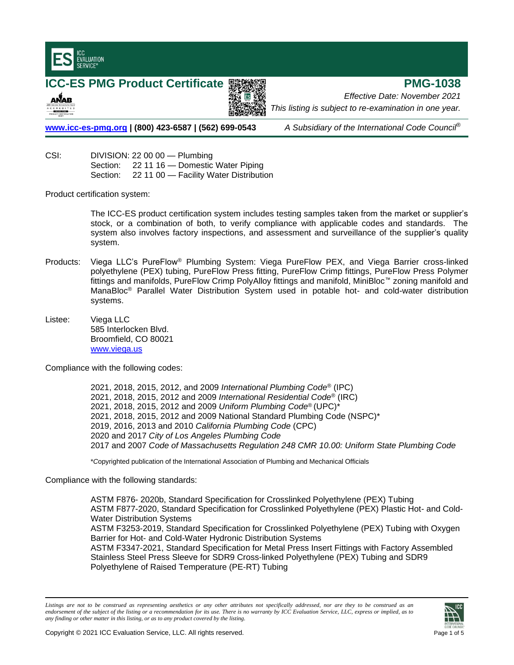

# **ICC-ES PMG Product Certificate <sup>■</sup> 製鋼線 ■ THE PMG-1038**





*Effective Date: November 2021 This listing is subject to re-examination in one year.*

**[www.icc-es-pmg.org](http://www.icc-es-pmg.org/) | (800) 423-6587 | (562) 699-0543** *A Subsidiary of the International Code Council*®

CSI: DIVISION: 22 00 00 — Plumbing Section: 22 11 16 - Domestic Water Piping Section: 22 11 00 - Facility Water Distribution

Product certification system:

The ICC-ES product certification system includes testing samples taken from the market or supplier's stock, or a combination of both, to verify compliance with applicable codes and standards. The system also involves factory inspections, and assessment and surveillance of the supplier's quality system.

- Products: Viega LLC's PureFlow® Plumbing System: Viega PureFlow PEX, and Viega Barrier cross-linked polyethylene (PEX) tubing, PureFlow Press fitting, PureFlow Crimp fittings, PureFlow Press Polymer fittings and manifolds, PureFlow Crimp PolyAlloy fittings and manifold, MiniBloc™ zoning manifold and ManaBloc® Parallel Water Distribution System used in potable hot- and cold-water distribution systems.
- Listee: Viega LLC 585 Interlocken Blvd. Broomfield, CO 80021 www.viega.us

Compliance with the following codes:

2021, 2018, 2015, 2012, and 2009 *International Plumbing Code*® (IPC) 2021, 2018, 2015, 2012 and 2009 *International Residential Code*® (IRC) 2021, 2018, 2015, 2012 and 2009 *Uniform Plumbing Code*® (UPC)\* 2021, 2018, 2015, 2012 and 2009 National Standard Plumbing Code (NSPC)\* 2019, 2016, 2013 and 2010 *California Plumbing Code* (CPC) 2020 and 2017 *City of Los Angeles Plumbing Code* 2017 and 2007 *Code of Massachusetts Regulation 248 CMR 10.00: Uniform State Plumbing Code*

\**C*opyrighted publication of the International Association of Plumbing and Mechanical Officials

Compliance with the following standards:

ASTM F876- 2020b, Standard Specification for Crosslinked Polyethylene (PEX) Tubing ASTM F877-2020, Standard Specification for Crosslinked Polyethylene (PEX) Plastic Hot- and Cold-Water Distribution Systems ASTM F3253-2019, Standard Specification for Crosslinked Polyethylene (PEX) Tubing with Oxygen Barrier for Hot- and Cold-Water Hydronic Distribution Systems ASTM F3347-2021, Standard Specification for Metal Press Insert Fittings with Factory Assembled Stainless Steel Press Sleeve for SDR9 Cross-linked Polyethylene (PEX) Tubing and SDR9 Polyethylene of Raised Temperature (PE-RT) Tubing

*Listings are not to be construed as representing aesthetics or any other attributes not specifically addressed, nor are they to be construed as an endorsement of the subject of the listing or a recommendation for its use. There is no warranty by ICC Evaluation Service, LLC, express or implied, as to any finding or other matter in this listing, or as to any product covered by the listing.*

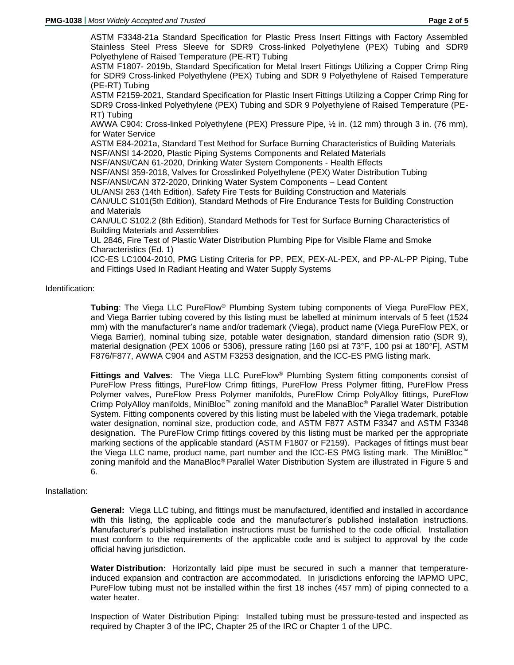ASTM F3348-21a Standard Specification for Plastic Press Insert Fittings with Factory Assembled Stainless Steel Press Sleeve for SDR9 Cross-linked Polyethylene (PEX) Tubing and SDR9 Polyethylene of Raised Temperature (PE-RT) Tubing

ASTM F1807- 2019b, Standard Specification for Metal Insert Fittings Utilizing a Copper Crimp Ring for SDR9 Cross-linked Polyethylene (PEX) Tubing and SDR 9 Polyethylene of Raised Temperature (PE-RT) Tubing

ASTM F2159-2021, Standard Specification for Plastic Insert Fittings Utilizing a Copper Crimp Ring for SDR9 Cross-linked Polyethylene (PEX) Tubing and SDR 9 Polyethylene of Raised Temperature (PE-RT) Tubing

AWWA C904: Cross-linked Polyethylene (PEX) Pressure Pipe, ½ in. (12 mm) through 3 in. (76 mm), for Water Service

ASTM E84-2021a, Standard Test Method for Surface Burning Characteristics of Building Materials NSF/ANSI 14-2020, Plastic Piping Systems Components and Related Materials

NSF/ANSI/CAN 61-2020, Drinking Water System Components - Health Effects

NSF/ANSI 359-2018, Valves for Crosslinked Polyethylene (PEX) Water Distribution Tubing

NSF/ANSI/CAN 372-2020, Drinking Water System Components – Lead Content

UL/ANSI 263 (14th Edition), Safety Fire Tests for Building Construction and Materials

CAN/ULC S101(5th Edition), Standard Methods of Fire Endurance Tests for Building Construction and Materials

CAN/ULC S102.2 (8th Edition), Standard Methods for Test for Surface Burning Characteristics of Building Materials and Assemblies

UL 2846, Fire Test of Plastic Water Distribution Plumbing Pipe for Visible Flame and Smoke Characteristics (Ed. 1)

ICC-ES LC1004-2010, PMG Listing Criteria for PP, PEX, PEX-AL-PEX, and PP-AL-PP Piping, Tube and Fittings Used In Radiant Heating and Water Supply Systems

# Identification:

**Tubing**: The Viega LLC PureFlow® Plumbing System tubing components of Viega PureFlow PEX, and Viega Barrier tubing covered by this listing must be labelled at minimum intervals of 5 feet (1524 mm) with the manufacturer's name and/or trademark (Viega), product name (Viega PureFlow PEX, or Viega Barrier), nominal tubing size, potable water designation, standard dimension ratio (SDR 9), material designation (PEX 1006 or 5306), pressure rating [160 psi at 73°F, 100 psi at 180°F], ASTM F876/F877, AWWA C904 and ASTM F3253 designation, and the ICC-ES PMG listing mark.

**Fittings and Valves**: The Viega LLC PureFlow® Plumbing System fitting components consist of PureFlow Press fittings, PureFlow Crimp fittings, PureFlow Press Polymer fitting, PureFlow Press Polymer valves, PureFlow Press Polymer manifolds, PureFlow Crimp PolyAlloy fittings, PureFlow Crimp PolyAlloy manifolds, MiniBloc™ zoning manifold and the ManaBloc® Parallel Water Distribution System. Fitting components covered by this listing must be labeled with the Viega trademark, potable water designation, nominal size, production code, and ASTM F877 ASTM F3347 and ASTM F3348 designation. The PureFlow Crimp fittings covered by this listing must be marked per the appropriate marking sections of the applicable standard (ASTM F1807 or F2159). Packages of fittings must bear the Viega LLC name, product name, part number and the ICC-ES PMG listing mark. The MiniBloc™ zoning manifold and the ManaBloc® Parallel Water Distribution System are illustrated in Figure 5 and 6.

# Installation:

**General:** Viega LLC tubing, and fittings must be manufactured, identified and installed in accordance with this listing, the applicable code and the manufacturer's published installation instructions. Manufacturer's published installation instructions must be furnished to the code official. Installation must conform to the requirements of the applicable code and is subject to approval by the code official having jurisdiction.

**Water Distribution:** Horizontally laid pipe must be secured in such a manner that temperatureinduced expansion and contraction are accommodated. In jurisdictions enforcing the IAPMO UPC, PureFlow tubing must not be installed within the first 18 inches (457 mm) of piping connected to a water heater.

Inspection of Water Distribution Piping: Installed tubing must be pressure-tested and inspected as required by Chapter 3 of the IPC, Chapter 25 of the IRC or Chapter 1 of the UPC.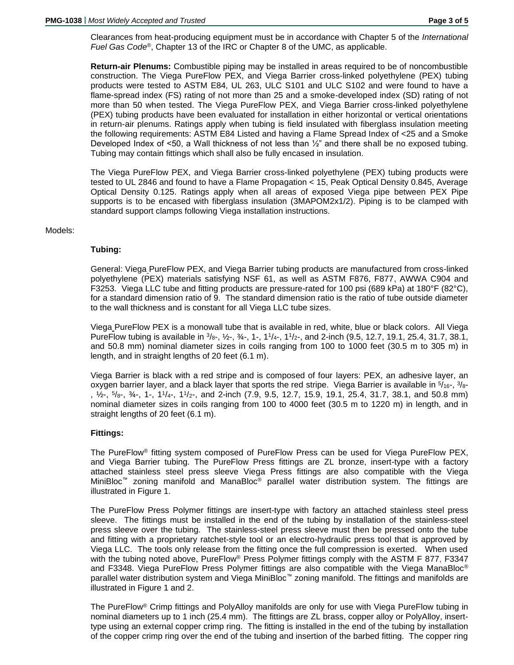Clearances from heat-producing equipment must be in accordance with Chapter 5 of the *International Fuel Gas Code*®, Chapter 13 of the IRC or Chapter 8 of the UMC, as applicable.

**Return-air Plenums:** Combustible piping may be installed in areas required to be of noncombustible construction. The Viega PureFlow PEX, and Viega Barrier cross-linked polyethylene (PEX) tubing products were tested to ASTM E84, UL 263, ULC S101 and ULC S102 and were found to have a flame-spread index (FS) rating of not more than 25 and a smoke-developed index (SD) rating of not more than 50 when tested. The Viega PureFlow PEX, and Viega Barrier cross-linked polyethylene (PEX) tubing products have been evaluated for installation in either horizontal or vertical orientations in return-air plenums. Ratings apply when tubing is field insulated with fiberglass insulation meeting the following requirements: ASTM E84 Listed and having a Flame Spread Index of <25 and a Smoke Developed Index of  $\leq 50$ , a Wall thickness of not less than  $\frac{1}{2}$  and there shall be no exposed tubing. Tubing may contain fittings which shall also be fully encased in insulation.

The Viega PureFlow PEX, and Viega Barrier cross-linked polyethylene (PEX) tubing products were tested to UL 2846 and found to have a Flame Propagation < 15, Peak Optical Density 0.845, Average Optical Density 0.125. Ratings apply when all areas of exposed Viega pipe between PEX Pipe supports is to be encased with fiberglass insulation (3MAPOM2x1/2). Piping is to be clamped with standard support clamps following Viega installation instructions.

### Models:

### **Tubing:**

General: Viega PureFlow PEX, and Viega Barrier tubing products are manufactured from cross-linked polyethylene (PEX) materials satisfying NSF 61, as well as ASTM F876, F877, AWWA C904 and F3253. Viega LLC tube and fitting products are pressure-rated for 100 psi (689 kPa) at 180°F (82°C), for a standard dimension ratio of 9. The standard dimension ratio is the ratio of tube outside diameter to the wall thickness and is constant for all Viega LLC tube sizes.

Viega PureFlow PEX is a monowall tube that is available in red, white, blue or black colors. All Viega PureFlow tubing is available in  $\frac{3}{8}$ -,  $\frac{1}{2}$ -,  $\frac{3}{4}$ -, 1-, 1<sup>1</sup>/<sub>4</sub>-, 1<sup>1</sup>/<sub>2</sub>-, and 2-inch (9.5, 12.7, 19.1, 25.4, 31.7, 38.1, and 50.8 mm) nominal diameter sizes in coils ranging from 100 to 1000 feet (30.5 m to 305 m) in length, and in straight lengths of 20 feet (6.1 m).

Viega Barrier is black with a red stripe and is composed of four layers: PEX, an adhesive layer, an oxygen barrier layer, and a black layer that sports the red stripe. Viega Barrier is available in  $5/16$ -,  $3/8$ -,  $\frac{1}{2}$ ,  $\frac{5}{8}$ ,  $\frac{3}{4}$ , 1-, 1<sup>1</sup>/<sub>4</sub>-, 1<sup>1</sup>/<sub>2</sub>-, and 2-inch (7.9, 9.5, 12.7, 15.9, 19.1, 25.4, 31.7, 38.1, and 50.8 mm) nominal diameter sizes in coils ranging from 100 to 4000 feet (30.5 m to 1220 m) in length, and in straight lengths of 20 feet (6.1 m).

## **Fittings:**

The PureFlow® fitting system composed of PureFlow Press can be used for Viega PureFlow PEX, and Viega Barrier tubing. The PureFlow Press fittings are ZL bronze, insert-type with a factory attached stainless steel press sleeve Viega Press fittings are also compatible with the Viega MiniBloc™ zoning manifold and ManaBloc® parallel water distribution system. The fittings are illustrated in Figure 1.

The PureFlow Press Polymer fittings are insert-type with factory an attached stainless steel press sleeve. The fittings must be installed in the end of the tubing by installation of the stainless-steel press sleeve over the tubing. The stainless-steel press sleeve must then be pressed onto the tube and fitting with a proprietary ratchet-style tool or an electro-hydraulic press tool that is approved by Viega LLC. The tools only release from the fitting once the full compression is exerted. When used with the tubing noted above, PureFlow® Press Polymer fittings comply with the ASTM F 877, F3347 and F3348. Viega PureFlow Press Polymer fittings are also compatible with the Viega ManaBloc® parallel water distribution system and Viega MiniBloc™ zoning manifold. The fittings and manifolds are illustrated in Figure 1 and 2.

The PureFlow® Crimp fittings and PolyAlloy manifolds are only for use with Viega PureFlow tubing in nominal diameters up to 1 inch (25.4 mm). The fittings are ZL brass, copper alloy or PolyAlloy, inserttype using an external copper crimp ring. The fitting is installed in the end of the tubing by installation of the copper crimp ring over the end of the tubing and insertion of the barbed fitting. The copper ring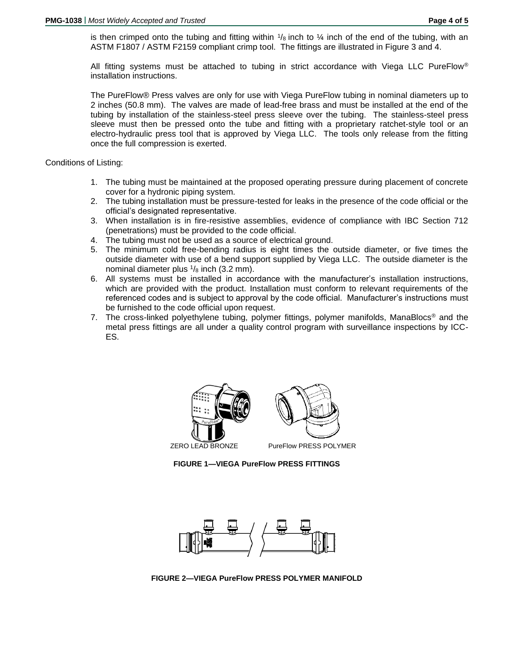is then crimped onto the tubing and fitting within  $\frac{1}{8}$  inch to  $\frac{1}{4}$  inch of the end of the tubing, with an ASTM F1807 / ASTM F2159 compliant crimp tool. The fittings are illustrated in Figure 3 and 4.

All fitting systems must be attached to tubing in strict accordance with Viega LLC PureFlow® installation instructions.

The PureFlow® Press valves are only for use with Viega PureFlow tubing in nominal diameters up to 2 inches (50.8 mm). The valves are made of lead-free brass and must be installed at the end of the tubing by installation of the stainless-steel press sleeve over the tubing. The stainless-steel press sleeve must then be pressed onto the tube and fitting with a proprietary ratchet-style tool or an electro-hydraulic press tool that is approved by Viega LLC. The tools only release from the fitting once the full compression is exerted.

Conditions of Listing:

- 1. The tubing must be maintained at the proposed operating pressure during placement of concrete cover for a hydronic piping system.
- 2. The tubing installation must be pressure-tested for leaks in the presence of the code official or the official's designated representative.
- 3. When installation is in fire-resistive assemblies, evidence of compliance with IBC Section 712 (penetrations) must be provided to the code official.
- 4. The tubing must not be used as a source of electrical ground.
- 5. The minimum cold free-bending radius is eight times the outside diameter, or five times the outside diameter with use of a bend support supplied by Viega LLC. The outside diameter is the nominal diameter plus  $\frac{1}{8}$  inch (3.2 mm).
- 6. All systems must be installed in accordance with the manufacturer's installation instructions, which are provided with the product. Installation must conform to relevant requirements of the referenced codes and is subject to approval by the code official. Manufacturer's instructions must be furnished to the code official upon request.
- 7. The cross-linked polyethylene tubing, polymer fittings, polymer manifolds, ManaBlocs® and the metal press fittings are all under a quality control program with surveillance inspections by ICC-ES.



**FIGURE 1—VIEGA PureFlow PRESS FITTINGS**



**FIGURE 2—VIEGA PureFlow PRESS POLYMER MANIFOLD**